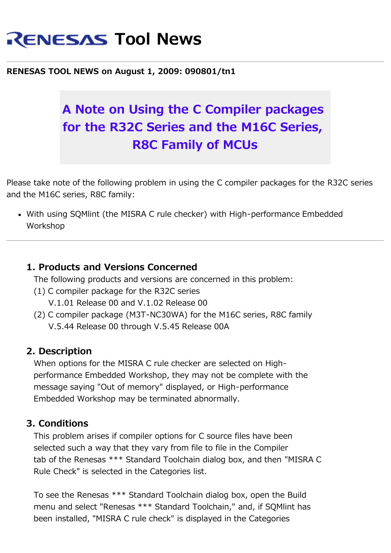# **RENESAS Tool News**

#### **RENESAS TOOL NEWS on August 1, 2009: 090801/tn1**

## **A Note on Using the C Compiler packages for the R32C Series and the M16C Series, R8C Family of MCUs**

Please take note of the following problem in using the C compiler packages for the R32C series and the M16C series, R8C family:

With using SQMlint (the MISRA C rule checker) with High-performance Embedded Workshop

#### **1. Products and Versions Concerned**

The following products and versions are concerned in this problem:

- (1) C compiler package for the R32C series
	- V.1.01 Release 00 and V.1.02 Release 00
- (2) C compiler package (M3T-NC30WA) for the M16C series, R8C family V.5.44 Release 00 through V.5.45 Release 00A

#### **2. Description**

 When options for the MISRA C rule checker are selected on High performance Embedded Workshop, they may not be complete with the message saying "Out of memory" displayed, or High-performance Embedded Workshop may be terminated abnormally.

#### **3. Conditions**

 This problem arises if compiler options for C source files have been selected such a way that they vary from file to file in the Compiler tab of the Renesas \*\*\* Standard Toolchain dialog box, and then "MISRA C Rule Check" is selected in the Categories list.

 To see the Renesas \*\*\* Standard Toolchain dialog box, open the Build menu and select "Renesas \*\*\* Standard Toolchain," and, if SQMlint has been installed, "MISRA C rule check" is displayed in the Categories